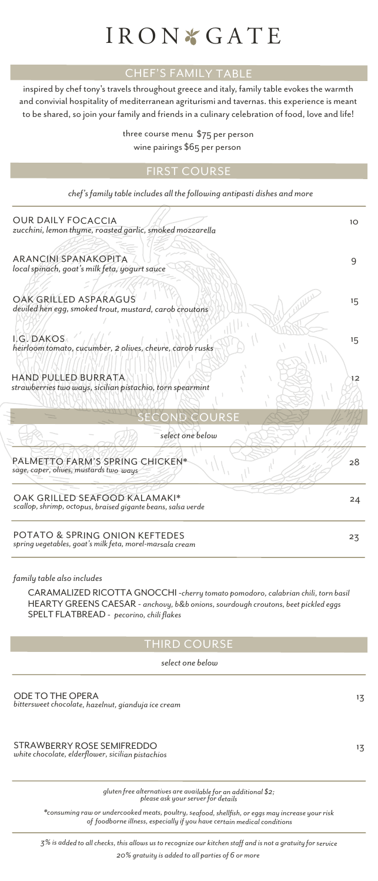# IRON & GATE

## CHEF'S FAMILY TABLE

inspired by chef tony's travels throughout greece and italy, family table evokes the warmth and convivial hospitality of mediterranean agriturismi and tavernas. this experience is meant to be shared, so join your family and friends in a culinary celebration of food, love and life!

> three course menu \$75 per person wine pairings \$65 per person

#### FIRST COURSE

*chef's family table includes all the following antipasti dishes and more*

| <b>OUR DAILY FOCACCIA</b><br>zucchini, lemon thyme, roasted garlic, smoked mozzarella         | 10 <sup>2</sup> |
|-----------------------------------------------------------------------------------------------|-----------------|
| <b>ARANCINI SPANAKOPITA</b><br>local spinach, goat's milk feta, yogurt sauce                  | 9               |
| OAK GRILLED ASPARAGUS<br>deviled hen egg, smoked trout, mustard, carob croutons               | $15 -$          |
| I.G. DAKOS<br>heirloom tomato, cucumber, 2 olives, chevre, carob rusks                        | 15              |
| HAND PULLED BURRATA<br>strawberries two ways, sicilian pistachio, torn spearmint              | 12              |
| <b>SECOND COURSE</b>                                                                          |                 |
| select one below                                                                              |                 |
| PALMETTO FARM'S SPRING CHICKEN*<br>sage, caper, olives, mustards two ways                     | 28              |
| OAK GRILLED SEAFOOD KALAMAKI*<br>scallop, shrimp, octopus, braised gigante beans, salsa verde | 24              |
| POTATO & SPRING ONION KEFTEDES<br>spring vegetables, goat's milk feta, morel-marsala cream    | 23              |

 *family table also includes*

CARAMALIZED RICOTTA GNOCCHI -*cherry tomato pomodoro, calabrian chili, torn basil* HEARTY GREENS CAESAR - *anchovy, b&b onions, sourdough croutons, beet pickled eggs* SPELT FLATBREAD - *pecorino, chili flakes* 

#### THIRD COURSE

 *select one below*

ODE TO THE OPERA 13 *bittersweet chocolate, hazelnut, gianduja ice cream*

STRAWBERRY ROSE SEMIFREDDO 13 *white chocolate, elderflower, sicilian pistachios*

*<sup>g</sup>luten free alternatives are available for an additional \$2; please ask your server for details*

*\*consuming raw or undercooked meats, poultry, seafood, shellfish, or eggs may increase your risk of foodborne illness, especially if you have certain medical conditions*

*3% is added to all checks, this allows us to recognize our kitchen staff and is not a gratuity for service 20% gratuity is added to all parties of 6 or more*